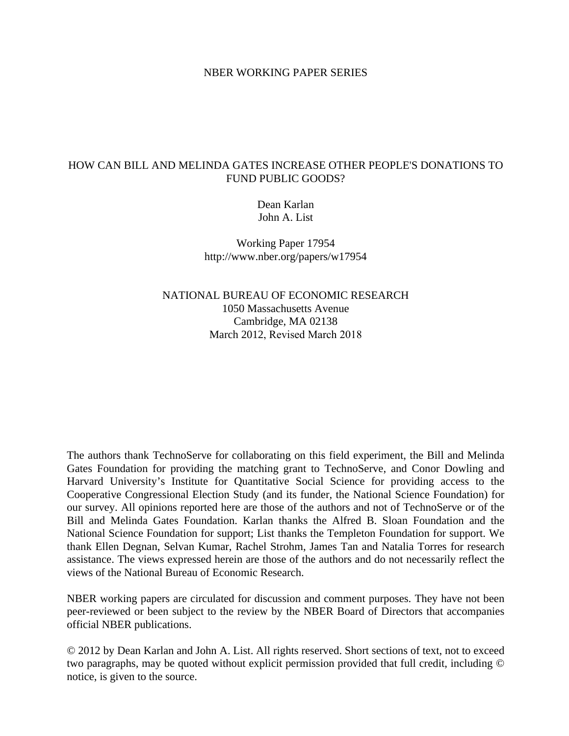#### NBER WORKING PAPER SERIES

## HOW CAN BILL AND MELINDA GATES INCREASE OTHER PEOPLE'S DONATIONS TO FUND PUBLIC GOODS?

Dean Karlan John A. List

Working Paper 17954 http://www.nber.org/papers/w17954

NATIONAL BUREAU OF ECONOMIC RESEARCH 1050 Massachusetts Avenue Cambridge, MA 02138 March 2012, Revised March 2018

The authors thank TechnoServe for collaborating on this field experiment, the Bill and Melinda Gates Foundation for providing the matching grant to TechnoServe, and Conor Dowling and Harvard University's Institute for Quantitative Social Science for providing access to the Cooperative Congressional Election Study (and its funder, the National Science Foundation) for our survey. All opinions reported here are those of the authors and not of TechnoServe or of the Bill and Melinda Gates Foundation. Karlan thanks the Alfred B. Sloan Foundation and the National Science Foundation for support; List thanks the Templeton Foundation for support. We thank Ellen Degnan, Selvan Kumar, Rachel Strohm, James Tan and Natalia Torres for research assistance. The views expressed herein are those of the authors and do not necessarily reflect the views of the National Bureau of Economic Research.

NBER working papers are circulated for discussion and comment purposes. They have not been peer-reviewed or been subject to the review by the NBER Board of Directors that accompanies official NBER publications.

© 2012 by Dean Karlan and John A. List. All rights reserved. Short sections of text, not to exceed two paragraphs, may be quoted without explicit permission provided that full credit, including © notice, is given to the source.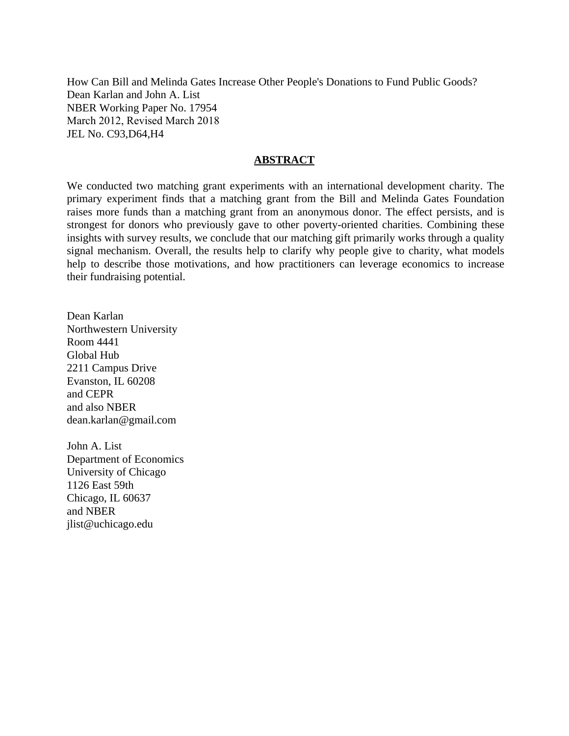How Can Bill and Melinda Gates Increase Other People's Donations to Fund Public Goods? Dean Karlan and John A. List NBER Working Paper No. 17954 March 2012, Revised March 2018 JEL No. C93,D64,H4

#### **ABSTRACT**

We conducted two matching grant experiments with an international development charity. The primary experiment finds that a matching grant from the Bill and Melinda Gates Foundation raises more funds than a matching grant from an anonymous donor. The effect persists, and is strongest for donors who previously gave to other poverty-oriented charities. Combining these insights with survey results, we conclude that our matching gift primarily works through a quality signal mechanism. Overall, the results help to clarify why people give to charity, what models help to describe those motivations, and how practitioners can leverage economics to increase their fundraising potential.

Dean Karlan Northwestern University Room 4441 Global Hub 2211 Campus Drive Evanston, IL 60208 and CEPR and also NBER dean.karlan@gmail.com

John A. List Department of Economics University of Chicago 1126 East 59th Chicago, IL 60637 and NBER jlist@uchicago.edu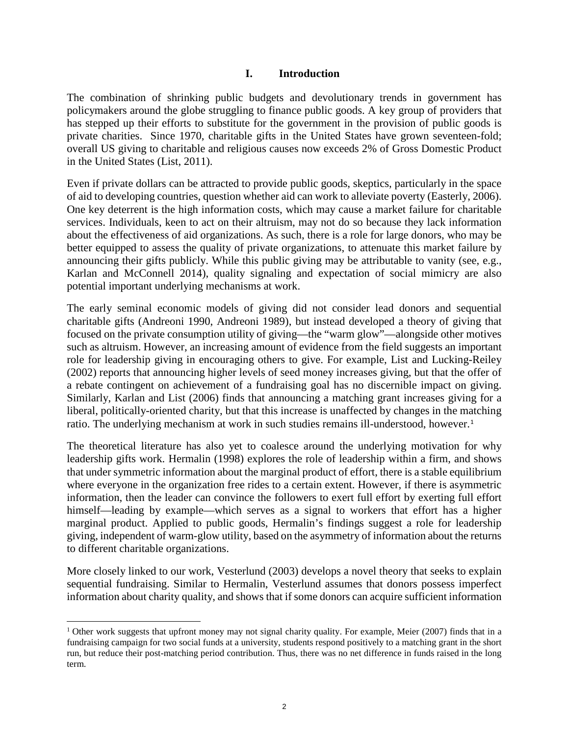### **I. Introduction**

The combination of shrinking public budgets and devolutionary trends in government has policymakers around the globe struggling to finance public goods. A key group of providers that has stepped up their efforts to substitute for the government in the provision of public goods is private charities. Since 1970, charitable gifts in the United States have grown seventeen-fold; overall US giving to charitable and religious causes now exceeds 2% of Gross Domestic Product in the United States (List, 2011).

Even if private dollars can be attracted to provide public goods, skeptics, particularly in the space of aid to developing countries, question whether aid can work to alleviate poverty (Easterly, 2006). One key deterrent is the high information costs, which may cause a market failure for charitable services. Individuals, keen to act on their altruism, may not do so because they lack information about the effectiveness of aid organizations. As such, there is a role for large donors, who may be better equipped to assess the quality of private organizations, to attenuate this market failure by announcing their gifts publicly. While this public giving may be attributable to vanity (see, e.g., Karlan and McConnell 2014), quality signaling and expectation of social mimicry are also potential important underlying mechanisms at work.

The early seminal economic models of giving did not consider lead donors and sequential charitable gifts (Andreoni 1990, Andreoni 1989), but instead developed a theory of giving that focused on the private consumption utility of giving—the "warm glow"—alongside other motives such as altruism. However, an increasing amount of evidence from the field suggests an important role for leadership giving in encouraging others to give. For example, List and Lucking-Reiley (2002) reports that announcing higher levels of seed money increases giving, but that the offer of a rebate contingent on achievement of a fundraising goal has no discernible impact on giving. Similarly, Karlan and List (2006) finds that announcing a matching grant increases giving for a liberal, politically-oriented charity, but that this increase is unaffected by changes in the matching ratio. The underlying mechanism at work in such studies remains ill-understood, however.<sup>[1](#page-2-0)</sup>

The theoretical literature has also yet to coalesce around the underlying motivation for why leadership gifts work. Hermalin (1998) explores the role of leadership within a firm, and shows that under symmetric information about the marginal product of effort, there is a stable equilibrium where everyone in the organization free rides to a certain extent. However, if there is asymmetric information, then the leader can convince the followers to exert full effort by exerting full effort himself—leading by example—which serves as a signal to workers that effort has a higher marginal product. Applied to public goods, Hermalin's findings suggest a role for leadership giving, independent of warm-glow utility, based on the asymmetry of information about the returns to different charitable organizations.

More closely linked to our work, Vesterlund (2003) develops a novel theory that seeks to explain sequential fundraising. Similar to Hermalin, Vesterlund assumes that donors possess imperfect information about charity quality, and shows that if some donors can acquire sufficient information

l

<span id="page-2-0"></span><sup>&</sup>lt;sup>1</sup> Other work suggests that upfront money may not signal charity quality. For example, Meier (2007) finds that in a fundraising campaign for two social funds at a university, students respond positively to a matching grant in the short run, but reduce their post-matching period contribution. Thus, there was no net difference in funds raised in the long term.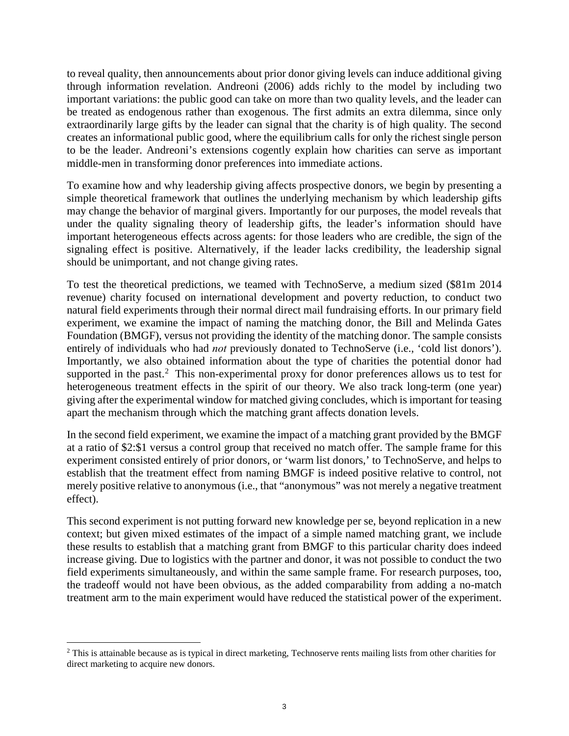to reveal quality, then announcements about prior donor giving levels can induce additional giving through information revelation. Andreoni (2006) adds richly to the model by including two important variations: the public good can take on more than two quality levels, and the leader can be treated as endogenous rather than exogenous. The first admits an extra dilemma, since only extraordinarily large gifts by the leader can signal that the charity is of high quality. The second creates an informational public good, where the equilibrium calls for only the richest single person to be the leader. Andreoni's extensions cogently explain how charities can serve as important middle-men in transforming donor preferences into immediate actions.

To examine how and why leadership giving affects prospective donors, we begin by presenting a simple theoretical framework that outlines the underlying mechanism by which leadership gifts may change the behavior of marginal givers. Importantly for our purposes, the model reveals that under the quality signaling theory of leadership gifts, the leader's information should have important heterogeneous effects across agents: for those leaders who are credible, the sign of the signaling effect is positive. Alternatively, if the leader lacks credibility, the leadership signal should be unimportant, and not change giving rates.

To test the theoretical predictions, we teamed with TechnoServe, a medium sized (\$81m 2014 revenue) charity focused on international development and poverty reduction, to conduct two natural field experiments through their normal direct mail fundraising efforts. In our primary field experiment, we examine the impact of naming the matching donor, the Bill and Melinda Gates Foundation (BMGF), versus not providing the identity of the matching donor. The sample consists entirely of individuals who had *not* previously donated to TechnoServe (i.e., 'cold list donors'). Importantly, we also obtained information about the type of charities the potential donor had supported in the past.<sup>[2](#page-3-0)</sup> This non-experimental proxy for donor preferences allows us to test for heterogeneous treatment effects in the spirit of our theory. We also track long-term (one year) giving after the experimental window for matched giving concludes, which is important for teasing apart the mechanism through which the matching grant affects donation levels.

In the second field experiment, we examine the impact of a matching grant provided by the BMGF at a ratio of \$2:\$1 versus a control group that received no match offer. The sample frame for this experiment consisted entirely of prior donors, or 'warm list donors,' to TechnoServe, and helps to establish that the treatment effect from naming BMGF is indeed positive relative to control, not merely positive relative to anonymous (i.e., that "anonymous" was not merely a negative treatment effect).

This second experiment is not putting forward new knowledge per se, beyond replication in a new context; but given mixed estimates of the impact of a simple named matching grant, we include these results to establish that a matching grant from BMGF to this particular charity does indeed increase giving. Due to logistics with the partner and donor, it was not possible to conduct the two field experiments simultaneously, and within the same sample frame. For research purposes, too, the tradeoff would not have been obvious, as the added comparability from adding a no-match treatment arm to the main experiment would have reduced the statistical power of the experiment.

<span id="page-3-0"></span>l  $2$  This is attainable because as is typical in direct marketing, Technoserve rents mailing lists from other charities for direct marketing to acquire new donors.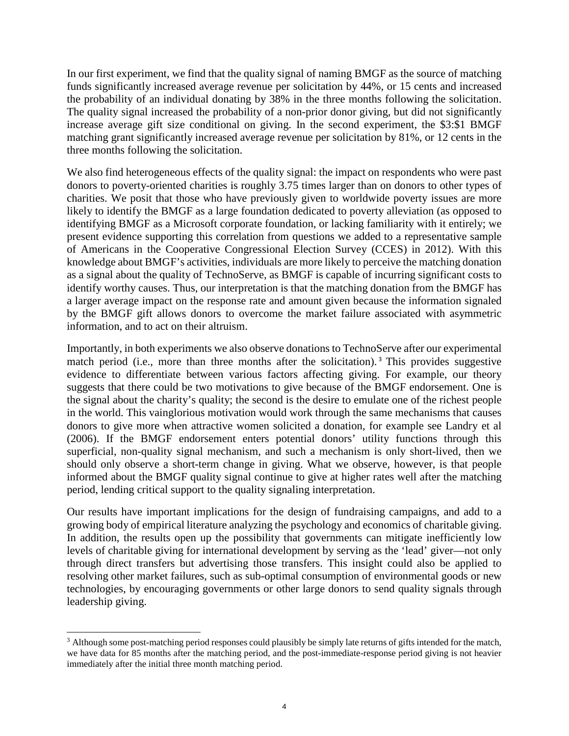In our first experiment, we find that the quality signal of naming BMGF as the source of matching funds significantly increased average revenue per solicitation by 44%, or 15 cents and increased the probability of an individual donating by 38% in the three months following the solicitation. The quality signal increased the probability of a non-prior donor giving, but did not significantly increase average gift size conditional on giving. In the second experiment, the \$3:\$1 BMGF matching grant significantly increased average revenue per solicitation by 81%, or 12 cents in the three months following the solicitation.

We also find heterogeneous effects of the quality signal: the impact on respondents who were past donors to poverty-oriented charities is roughly 3.75 times larger than on donors to other types of charities. We posit that those who have previously given to worldwide poverty issues are more likely to identify the BMGF as a large foundation dedicated to poverty alleviation (as opposed to identifying BMGF as a Microsoft corporate foundation, or lacking familiarity with it entirely; we present evidence supporting this correlation from questions we added to a representative sample of Americans in the Cooperative Congressional Election Survey (CCES) in 2012). With this knowledge about BMGF's activities, individuals are more likely to perceive the matching donation as a signal about the quality of TechnoServe, as BMGF is capable of incurring significant costs to identify worthy causes. Thus, our interpretation is that the matching donation from the BMGF has a larger average impact on the response rate and amount given because the information signaled by the BMGF gift allows donors to overcome the market failure associated with asymmetric information, and to act on their altruism.

Importantly, in both experiments we also observe donations to TechnoServe after our experimental match period (i.e., more than three months after the solicitation).<sup>[3](#page-4-0)</sup> This provides suggestive evidence to differentiate between various factors affecting giving. For example, our theory suggests that there could be two motivations to give because of the BMGF endorsement. One is the signal about the charity's quality; the second is the desire to emulate one of the richest people in the world. This vainglorious motivation would work through the same mechanisms that causes donors to give more when attractive women solicited a donation, for example see Landry et al (2006). If the BMGF endorsement enters potential donors' utility functions through this superficial, non-quality signal mechanism, and such a mechanism is only short-lived, then we should only observe a short-term change in giving. What we observe, however, is that people informed about the BMGF quality signal continue to give at higher rates well after the matching period, lending critical support to the quality signaling interpretation.

Our results have important implications for the design of fundraising campaigns, and add to a growing body of empirical literature analyzing the psychology and economics of charitable giving. In addition, the results open up the possibility that governments can mitigate inefficiently low levels of charitable giving for international development by serving as the 'lead' giver—not only through direct transfers but advertising those transfers. This insight could also be applied to resolving other market failures, such as sub-optimal consumption of environmental goods or new technologies, by encouraging governments or other large donors to send quality signals through leadership giving.

<span id="page-4-0"></span><sup>&</sup>lt;sup>3</sup> Although some post-matching period responses could plausibly be simply late returns of gifts intended for the match, we have data for 85 months after the matching period, and the post-immediate-response period giving is not heavier immediately after the initial three month matching period.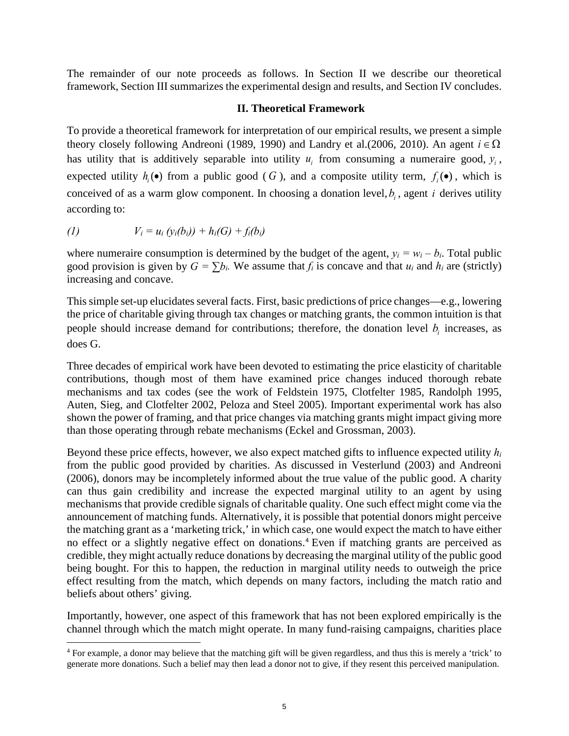The remainder of our note proceeds as follows. In Section II we describe our theoretical framework, Section III summarizes the experimental design and results, and Section IV concludes.

### **II. Theoretical Framework**

To provide a theoretical framework for interpretation of our empirical results, we present a simple theory closely following Andreoni (1989, 1990) and Landry et al.(2006, 2010). An agent  $i \in \Omega$ has utility that is additively separable into utility  $u_i$  from consuming a numeraire good,  $y_i$ , expected utility  $h_i(\bullet)$  from a public good (G), and a composite utility term,  $f_i(\bullet)$ , which is conceived of as a warm glow component. In choosing a donation level,  $b_i$ , agent *i* derives utility according to:

(1) 
$$
V_i = u_i (y_i(b_i)) + h_i(G) + f_i(b_i)
$$

l

where numeraire consumption is determined by the budget of the agent,  $y_i = w_i - b_i$ . Total public good provision is given by  $G = \sum b_i$ . We assume that  $f_i$  is concave and that  $u_i$  and  $h_i$  are (strictly) increasing and concave.

This simple set-up elucidates several facts. First, basic predictions of price changes—e.g., lowering the price of charitable giving through tax changes or matching grants, the common intuition is that people should increase demand for contributions; therefore, the donation level  $b_i$  increases, as does G.

Three decades of empirical work have been devoted to estimating the price elasticity of charitable contributions, though most of them have examined price changes induced thorough rebate mechanisms and tax codes (see the work of Feldstein 1975, Clotfelter 1985, Randolph 1995, Auten, Sieg, and Clotfelter 2002, Peloza and Steel 2005). Important experimental work has also shown the power of framing, and that price changes via matching grants might impact giving more than those operating through rebate mechanisms (Eckel and Grossman, 2003).

Beyond these price effects, however, we also expect matched gifts to influence expected utility *hi* from the public good provided by charities. As discussed in Vesterlund (2003) and Andreoni (2006), donors may be incompletely informed about the true value of the public good. A charity can thus gain credibility and increase the expected marginal utility to an agent by using mechanisms that provide credible signals of charitable quality. One such effect might come via the announcement of matching funds. Alternatively, it is possible that potential donors might perceive the matching grant as a 'marketing trick,' in which case, one would expect the match to have either no effect or a slightly negative effect on donations. [4](#page-5-0) Even if matching grants are perceived as credible, they might actually reduce donations by decreasing the marginal utility of the public good being bought. For this to happen, the reduction in marginal utility needs to outweigh the price effect resulting from the match, which depends on many factors, including the match ratio and beliefs about others' giving.

Importantly, however, one aspect of this framework that has not been explored empirically is the channel through which the match might operate. In many fund-raising campaigns, charities place

<span id="page-5-0"></span><sup>4</sup> For example, a donor may believe that the matching gift will be given regardless, and thus this is merely a 'trick' to generate more donations. Such a belief may then lead a donor not to give, if they resent this perceived manipulation.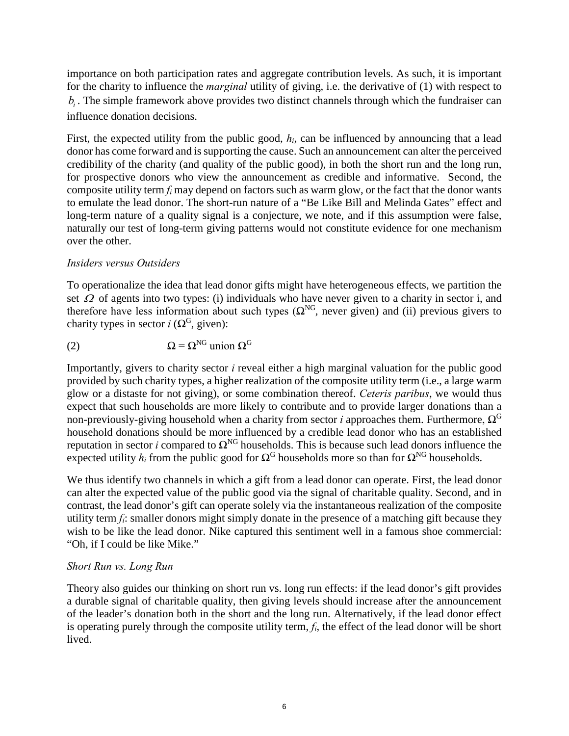importance on both participation rates and aggregate contribution levels. As such, it is important for the charity to influence the *marginal* utility of giving, i.e. the derivative of (1) with respect to  $b_i$ . The simple framework above provides two distinct channels through which the fundraiser can influence donation decisions.

First, the expected utility from the public good,  $h_i$ , can be influenced by announcing that a lead donor has come forward and is supporting the cause. Such an announcement can alter the perceived credibility of the charity (and quality of the public good), in both the short run and the long run, for prospective donors who view the announcement as credible and informative. Second, the composite utility term *fi* may depend on factors such as warm glow, or the fact that the donor wants to emulate the lead donor. The short-run nature of a "Be Like Bill and Melinda Gates" effect and long-term nature of a quality signal is a conjecture, we note, and if this assumption were false, naturally our test of long-term giving patterns would not constitute evidence for one mechanism over the other.

## *Insiders versus Outsiders*

To operationalize the idea that lead donor gifts might have heterogeneous effects, we partition the set  $\Omega$  of agents into two types: (i) individuals who have never given to a charity in sector i, and therefore have less information about such types  $(\Omega^{NG})$ , never given) and (ii) previous givers to charity types in sector *i* ( $\Omega^G$ , given):

(2) 
$$
\Omega = \Omega^{\text{NG}} \text{ union } \Omega^{\text{G}}
$$

Importantly, givers to charity sector *i* reveal either a high marginal valuation for the public good provided by such charity types, a higher realization of the composite utility term (i.e., a large warm glow or a distaste for not giving), or some combination thereof. *Ceteris paribus*, we would thus expect that such households are more likely to contribute and to provide larger donations than a non-previously-giving household when a charity from sector *i* approaches them. Furthermore,  $Ω<sup>G</sup>$ household donations should be more influenced by a credible lead donor who has an established reputation in sector *i* compared to  $\Omega^{NG}$  households. This is because such lead donors influence the expected utility  $h_i$  from the public good for  $\Omega^G$  households more so than for  $\Omega^{NG}$  households.

We thus identify two channels in which a gift from a lead donor can operate. First, the lead donor can alter the expected value of the public good via the signal of charitable quality. Second, and in contrast, the lead donor's gift can operate solely via the instantaneous realization of the composite utility term  $f_i$ : smaller donors might simply donate in the presence of a matching gift because they wish to be like the lead donor. Nike captured this sentiment well in a famous shoe commercial: "Oh, if I could be like Mike."

# *Short Run vs. Long Run*

Theory also guides our thinking on short run vs. long run effects: if the lead donor's gift provides a durable signal of charitable quality, then giving levels should increase after the announcement of the leader's donation both in the short and the long run. Alternatively, if the lead donor effect is operating purely through the composite utility term, *fi*, the effect of the lead donor will be short lived.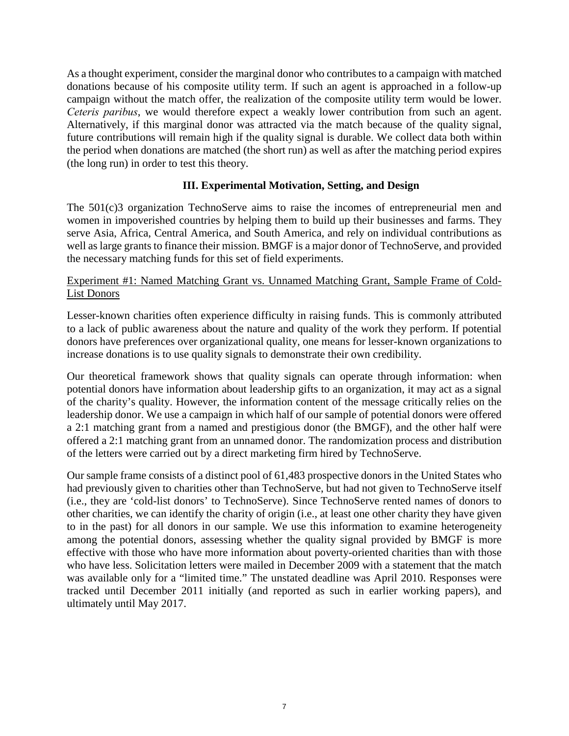As a thought experiment, consider the marginal donor who contributes to a campaign with matched donations because of his composite utility term. If such an agent is approached in a follow-up campaign without the match offer, the realization of the composite utility term would be lower. *Ceteris paribus*, we would therefore expect a weakly lower contribution from such an agent. Alternatively, if this marginal donor was attracted via the match because of the quality signal, future contributions will remain high if the quality signal is durable. We collect data both within the period when donations are matched (the short run) as well as after the matching period expires (the long run) in order to test this theory.

# **III. Experimental Motivation, Setting, and Design**

The 501(c)3 organization TechnoServe aims to raise the incomes of entrepreneurial men and women in impoverished countries by helping them to build up their businesses and farms. They serve Asia, Africa, Central America, and South America, and rely on individual contributions as well as large grants to finance their mission. BMGF is a major donor of TechnoServe, and provided the necessary matching funds for this set of field experiments.

# Experiment #1: Named Matching Grant vs. Unnamed Matching Grant, Sample Frame of Cold-List Donors

Lesser-known charities often experience difficulty in raising funds. This is commonly attributed to a lack of public awareness about the nature and quality of the work they perform. If potential donors have preferences over organizational quality, one means for lesser-known organizations to increase donations is to use quality signals to demonstrate their own credibility.

Our theoretical framework shows that quality signals can operate through information: when potential donors have information about leadership gifts to an organization, it may act as a signal of the charity's quality. However, the information content of the message critically relies on the leadership donor. We use a campaign in which half of our sample of potential donors were offered a 2:1 matching grant from a named and prestigious donor (the BMGF), and the other half were offered a 2:1 matching grant from an unnamed donor. The randomization process and distribution of the letters were carried out by a direct marketing firm hired by TechnoServe.

Our sample frame consists of a distinct pool of 61,483 prospective donors in the United States who had previously given to charities other than TechnoServe, but had not given to TechnoServe itself (i.e., they are 'cold-list donors' to TechnoServe). Since TechnoServe rented names of donors to other charities, we can identify the charity of origin (i.e., at least one other charity they have given to in the past) for all donors in our sample. We use this information to examine heterogeneity among the potential donors, assessing whether the quality signal provided by BMGF is more effective with those who have more information about poverty-oriented charities than with those who have less. Solicitation letters were mailed in December 2009 with a statement that the match was available only for a "limited time." The unstated deadline was April 2010. Responses were tracked until December 2011 initially (and reported as such in earlier working papers), and ultimately until May 2017.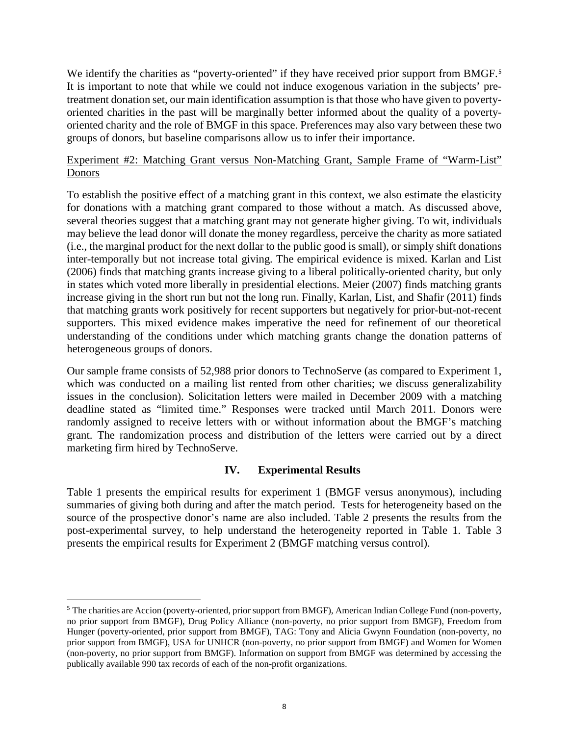We identify the charities as "poverty-oriented" if they have received prior support from BMGF.<sup>[5](#page-8-0)</sup> It is important to note that while we could not induce exogenous variation in the subjects' pretreatment donation set, our main identification assumption is that those who have given to povertyoriented charities in the past will be marginally better informed about the quality of a povertyoriented charity and the role of BMGF in this space. Preferences may also vary between these two groups of donors, but baseline comparisons allow us to infer their importance.

## Experiment #2: Matching Grant versus Non-Matching Grant, Sample Frame of "Warm-List" Donors

To establish the positive effect of a matching grant in this context, we also estimate the elasticity for donations with a matching grant compared to those without a match. As discussed above, several theories suggest that a matching grant may not generate higher giving. To wit, individuals may believe the lead donor will donate the money regardless, perceive the charity as more satiated (i.e., the marginal product for the next dollar to the public good is small), or simply shift donations inter-temporally but not increase total giving. The empirical evidence is mixed. Karlan and List (2006) finds that matching grants increase giving to a liberal politically-oriented charity, but only in states which voted more liberally in presidential elections. Meier (2007) finds matching grants increase giving in the short run but not the long run. Finally, Karlan, List, and Shafir (2011) finds that matching grants work positively for recent supporters but negatively for prior-but-not-recent supporters. This mixed evidence makes imperative the need for refinement of our theoretical understanding of the conditions under which matching grants change the donation patterns of heterogeneous groups of donors.

Our sample frame consists of 52,988 prior donors to TechnoServe (as compared to Experiment 1, which was conducted on a mailing list rented from other charities; we discuss generalizability issues in the conclusion). Solicitation letters were mailed in December 2009 with a matching deadline stated as "limited time." Responses were tracked until March 2011. Donors were randomly assigned to receive letters with or without information about the BMGF's matching grant. The randomization process and distribution of the letters were carried out by a direct marketing firm hired by TechnoServe.

# **IV. Experimental Results**

Table 1 presents the empirical results for experiment 1 (BMGF versus anonymous), including summaries of giving both during and after the match period. Tests for heterogeneity based on the source of the prospective donor's name are also included. Table 2 presents the results from the post-experimental survey, to help understand the heterogeneity reported in Table 1. Table 3 presents the empirical results for Experiment 2 (BMGF matching versus control).

 $\overline{a}$ 

<span id="page-8-0"></span><sup>5</sup> The charities are Accion (poverty-oriented, prior support from BMGF), American Indian College Fund (non-poverty, no prior support from BMGF), Drug Policy Alliance (non-poverty, no prior support from BMGF), Freedom from Hunger (poverty-oriented, prior support from BMGF), TAG: Tony and Alicia Gwynn Foundation (non-poverty, no prior support from BMGF), USA for UNHCR (non-poverty, no prior support from BMGF) and Women for Women (non-poverty, no prior support from BMGF). Information on support from BMGF was determined by accessing the publically available 990 tax records of each of the non-profit organizations.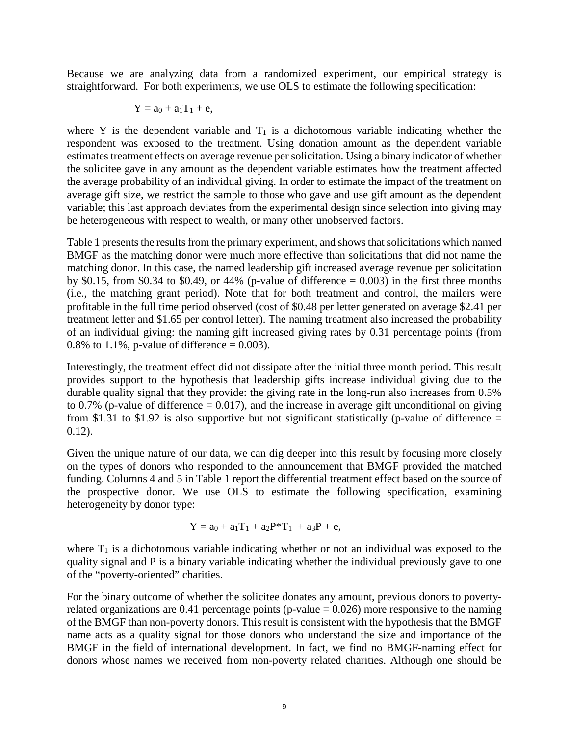Because we are analyzing data from a randomized experiment, our empirical strategy is straightforward. For both experiments, we use OLS to estimate the following specification:

$$
Y=a_0+a_1T_1+e,
$$

where Y is the dependent variable and  $T_1$  is a dichotomous variable indicating whether the respondent was exposed to the treatment. Using donation amount as the dependent variable estimates treatment effects on average revenue per solicitation. Using a binary indicator of whether the solicitee gave in any amount as the dependent variable estimates how the treatment affected the average probability of an individual giving. In order to estimate the impact of the treatment on average gift size, we restrict the sample to those who gave and use gift amount as the dependent variable; this last approach deviates from the experimental design since selection into giving may be heterogeneous with respect to wealth, or many other unobserved factors.

Table 1 presents the results from the primary experiment, and shows that solicitations which named BMGF as the matching donor were much more effective than solicitations that did not name the matching donor. In this case, the named leadership gift increased average revenue per solicitation by \$0.15, from \$0.34 to \$0.49, or 44% (p-value of difference  $= 0.003$ ) in the first three months (i.e., the matching grant period). Note that for both treatment and control, the mailers were profitable in the full time period observed (cost of \$0.48 per letter generated on average \$2.41 per treatment letter and \$1.65 per control letter). The naming treatment also increased the probability of an individual giving: the naming gift increased giving rates by 0.31 percentage points (from 0.8% to 1.1%, p-value of difference =  $0.003$ ).

Interestingly, the treatment effect did not dissipate after the initial three month period. This result provides support to the hypothesis that leadership gifts increase individual giving due to the durable quality signal that they provide: the giving rate in the long-run also increases from 0.5% to 0.7% (p-value of difference  $= 0.017$ ), and the increase in average gift unconditional on giving from \$1.31 to \$1.92 is also supportive but not significant statistically (p-value of difference  $=$  $0.12$ ).

Given the unique nature of our data, we can dig deeper into this result by focusing more closely on the types of donors who responded to the announcement that BMGF provided the matched funding. Columns 4 and 5 in Table 1 report the differential treatment effect based on the source of the prospective donor. We use OLS to estimate the following specification, examining heterogeneity by donor type:

$$
Y = a_0 + a_1 T_1 + a_2 P^* T_1 + a_3 P + e,
$$

where  $T_1$  is a dichotomous variable indicating whether or not an individual was exposed to the quality signal and P is a binary variable indicating whether the individual previously gave to one of the "poverty-oriented" charities.

For the binary outcome of whether the solicitee donates any amount, previous donors to povertyrelated organizations are 0.41 percentage points (p-value  $= 0.026$ ) more responsive to the naming of the BMGF than non-poverty donors. This result is consistent with the hypothesis that the BMGF name acts as a quality signal for those donors who understand the size and importance of the BMGF in the field of international development. In fact, we find no BMGF-naming effect for donors whose names we received from non-poverty related charities. Although one should be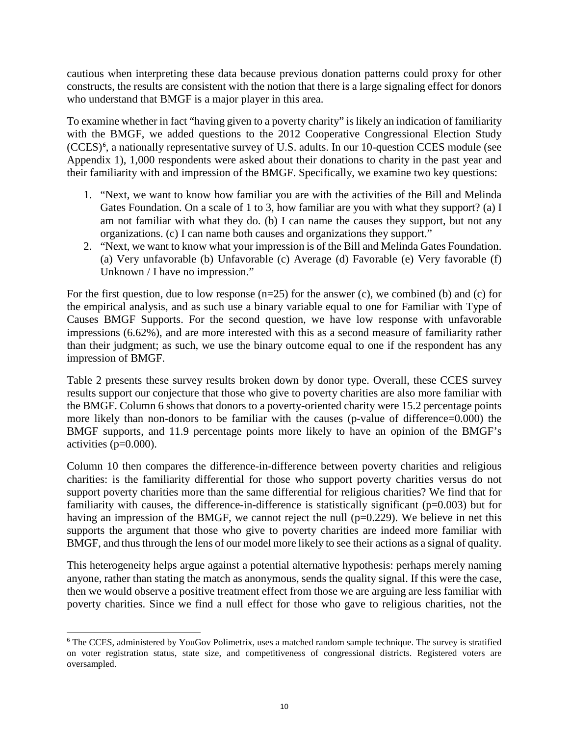cautious when interpreting these data because previous donation patterns could proxy for other constructs, the results are consistent with the notion that there is a large signaling effect for donors who understand that BMGF is a major player in this area.

To examine whether in fact "having given to a poverty charity" is likely an indication of familiarity with the BMGF, we added questions to the 2012 Cooperative Congressional Election Study (CCES)<sup>[6](#page-10-0)</sup>, a nationally representative survey of U.S. adults. In our 10-question CCES module (see Appendix 1), 1,000 respondents were asked about their donations to charity in the past year and their familiarity with and impression of the BMGF. Specifically, we examine two key questions:

- 1. "Next, we want to know how familiar you are with the activities of the Bill and Melinda Gates Foundation. On a scale of 1 to 3, how familiar are you with what they support? (a) I am not familiar with what they do. (b) I can name the causes they support, but not any organizations. (c) I can name both causes and organizations they support."
- 2. "Next, we want to know what your impression is of the Bill and Melinda Gates Foundation. (a) Very unfavorable (b) Unfavorable (c) Average (d) Favorable (e) Very favorable (f) Unknown / I have no impression."

For the first question, due to low response  $(n=25)$  for the answer (c), we combined (b) and (c) for the empirical analysis, and as such use a binary variable equal to one for Familiar with Type of Causes BMGF Supports. For the second question, we have low response with unfavorable impressions (6.62%), and are more interested with this as a second measure of familiarity rather than their judgment; as such, we use the binary outcome equal to one if the respondent has any impression of BMGF.

Table 2 presents these survey results broken down by donor type. Overall, these CCES survey results support our conjecture that those who give to poverty charities are also more familiar with the BMGF. Column 6 shows that donors to a poverty-oriented charity were 15.2 percentage points more likely than non-donors to be familiar with the causes (p-value of difference=0.000) the BMGF supports, and 11.9 percentage points more likely to have an opinion of the BMGF's activities (p=0.000).

Column 10 then compares the difference-in-difference between poverty charities and religious charities: is the familiarity differential for those who support poverty charities versus do not support poverty charities more than the same differential for religious charities? We find that for familiarity with causes, the difference-in-difference is statistically significant (p=0.003) but for having an impression of the BMGF, we cannot reject the null  $(p=0.229)$ . We believe in net this supports the argument that those who give to poverty charities are indeed more familiar with BMGF, and thus through the lens of our model more likely to see their actions as a signal of quality.

This heterogeneity helps argue against a potential alternative hypothesis: perhaps merely naming anyone, rather than stating the match as anonymous, sends the quality signal. If this were the case, then we would observe a positive treatment effect from those we are arguing are less familiar with poverty charities. Since we find a null effect for those who gave to religious charities, not the

<span id="page-10-0"></span><sup>6</sup> The CCES, administered by YouGov Polimetrix, uses a matched random sample technique. The survey is stratified on voter registration status, state size, and competitiveness of congressional districts. Registered voters are oversampled.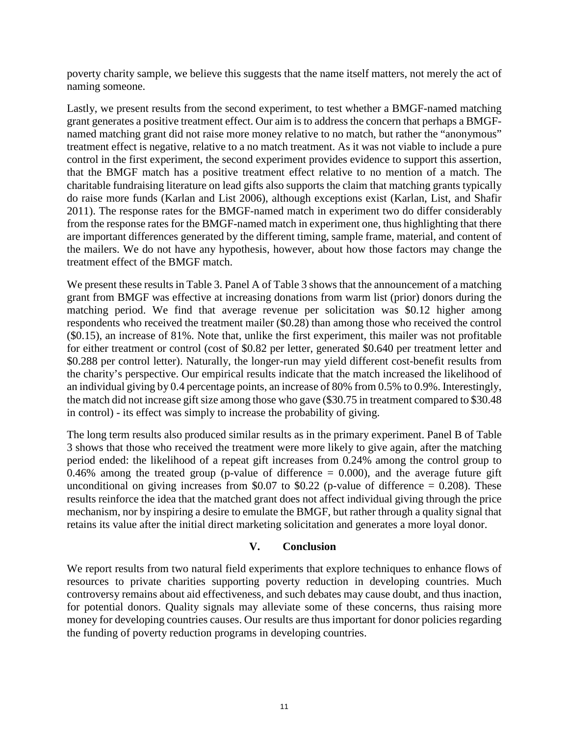poverty charity sample, we believe this suggests that the name itself matters, not merely the act of naming someone.

Lastly, we present results from the second experiment, to test whether a BMGF-named matching grant generates a positive treatment effect. Our aim is to address the concern that perhaps a BMGFnamed matching grant did not raise more money relative to no match, but rather the "anonymous" treatment effect is negative, relative to a no match treatment. As it was not viable to include a pure control in the first experiment, the second experiment provides evidence to support this assertion, that the BMGF match has a positive treatment effect relative to no mention of a match. The charitable fundraising literature on lead gifts also supports the claim that matching grants typically do raise more funds (Karlan and List 2006), although exceptions exist (Karlan, List, and Shafir 2011). The response rates for the BMGF-named match in experiment two do differ considerably from the response rates for the BMGF-named match in experiment one, thus highlighting that there are important differences generated by the different timing, sample frame, material, and content of the mailers. We do not have any hypothesis, however, about how those factors may change the treatment effect of the BMGF match.

We present these results in Table 3. Panel A of Table 3 shows that the announcement of a matching grant from BMGF was effective at increasing donations from warm list (prior) donors during the matching period. We find that average revenue per solicitation was \$0.12 higher among respondents who received the treatment mailer (\$0.28) than among those who received the control (\$0.15), an increase of 81%. Note that, unlike the first experiment, this mailer was not profitable for either treatment or control (cost of \$0.82 per letter, generated \$0.640 per treatment letter and \$0.288 per control letter). Naturally, the longer-run may yield different cost-benefit results from the charity's perspective. Our empirical results indicate that the match increased the likelihood of an individual giving by 0.4 percentage points, an increase of 80% from 0.5% to 0.9%. Interestingly, the match did not increase gift size among those who gave (\$30.75 in treatment compared to \$30.48 in control) - its effect was simply to increase the probability of giving.

The long term results also produced similar results as in the primary experiment. Panel B of Table 3 shows that those who received the treatment were more likely to give again, after the matching period ended: the likelihood of a repeat gift increases from 0.24% among the control group to 0.46% among the treated group (p-value of difference  $= 0.000$ ), and the average future gift unconditional on giving increases from \$0.07 to \$0.22 (p-value of difference  $= 0.208$ ). These results reinforce the idea that the matched grant does not affect individual giving through the price mechanism, nor by inspiring a desire to emulate the BMGF, but rather through a quality signal that retains its value after the initial direct marketing solicitation and generates a more loyal donor.

# **V. Conclusion**

We report results from two natural field experiments that explore techniques to enhance flows of resources to private charities supporting poverty reduction in developing countries. Much controversy remains about aid effectiveness, and such debates may cause doubt, and thus inaction, for potential donors. Quality signals may alleviate some of these concerns, thus raising more money for developing countries causes. Our results are thus important for donor policies regarding the funding of poverty reduction programs in developing countries.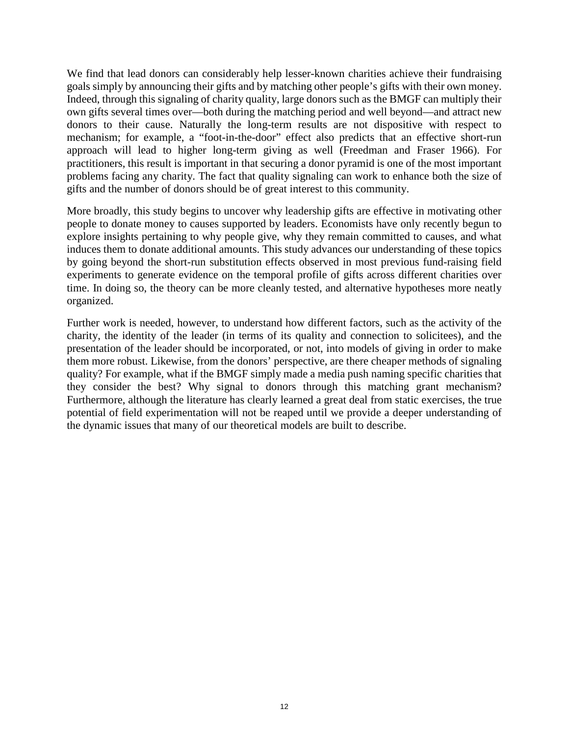We find that lead donors can considerably help lesser-known charities achieve their fundraising goals simply by announcing their gifts and by matching other people's gifts with their own money. Indeed, through this signaling of charity quality, large donors such as the BMGF can multiply their own gifts several times over—both during the matching period and well beyond—and attract new donors to their cause. Naturally the long-term results are not dispositive with respect to mechanism; for example, a "foot-in-the-door" effect also predicts that an effective short-run approach will lead to higher long-term giving as well (Freedman and Fraser 1966). For practitioners, this result is important in that securing a donor pyramid is one of the most important problems facing any charity. The fact that quality signaling can work to enhance both the size of gifts and the number of donors should be of great interest to this community.

More broadly, this study begins to uncover why leadership gifts are effective in motivating other people to donate money to causes supported by leaders. Economists have only recently begun to explore insights pertaining to why people give, why they remain committed to causes, and what induces them to donate additional amounts. This study advances our understanding of these topics by going beyond the short-run substitution effects observed in most previous fund-raising field experiments to generate evidence on the temporal profile of gifts across different charities over time. In doing so, the theory can be more cleanly tested, and alternative hypotheses more neatly organized.

Further work is needed, however, to understand how different factors, such as the activity of the charity, the identity of the leader (in terms of its quality and connection to solicitees), and the presentation of the leader should be incorporated, or not, into models of giving in order to make them more robust. Likewise, from the donors' perspective, are there cheaper methods of signaling quality? For example, what if the BMGF simply made a media push naming specific charities that they consider the best? Why signal to donors through this matching grant mechanism? Furthermore, although the literature has clearly learned a great deal from static exercises, the true potential of field experimentation will not be reaped until we provide a deeper understanding of the dynamic issues that many of our theoretical models are built to describe.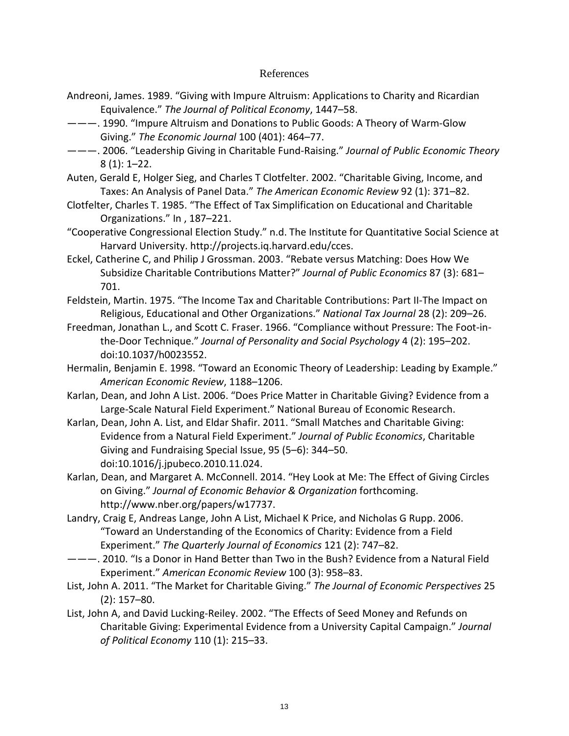### References

- Andreoni, James. 1989. "Giving with Impure Altruism: Applications to Charity and Ricardian Equivalence." *The Journal of Political Economy*, 1447–58.
- ———. 1990. "Impure Altruism and Donations to Public Goods: A Theory of Warm-Glow Giving." *The Economic Journal* 100 (401): 464–77.
- ———. 2006. "Leadership Giving in Charitable Fund-Raising." *Journal of Public Economic Theory* 8 (1): 1–22.
- Auten, Gerald E, Holger Sieg, and Charles T Clotfelter. 2002. "Charitable Giving, Income, and Taxes: An Analysis of Panel Data." *The American Economic Review* 92 (1): 371–82.
- Clotfelter, Charles T. 1985. "The Effect of Tax Simplification on Educational and Charitable Organizations." In , 187–221.
- "Cooperative Congressional Election Study." n.d. The Institute for Quantitative Social Science at Harvard University. http://projects.iq.harvard.edu/cces.
- Eckel, Catherine C, and Philip J Grossman. 2003. "Rebate versus Matching: Does How We Subsidize Charitable Contributions Matter?" *Journal of Public Economics* 87 (3): 681– 701.
- Feldstein, Martin. 1975. "The Income Tax and Charitable Contributions: Part II-The Impact on Religious, Educational and Other Organizations." *National Tax Journal* 28 (2): 209–26.
- Freedman, Jonathan L., and Scott C. Fraser. 1966. "Compliance without Pressure: The Foot-inthe-Door Technique." *Journal of Personality and Social Psychology* 4 (2): 195–202. doi:10.1037/h0023552.
- Hermalin, Benjamin E. 1998. "Toward an Economic Theory of Leadership: Leading by Example." *American Economic Review*, 1188–1206.
- Karlan, Dean, and John A List. 2006. "Does Price Matter in Charitable Giving? Evidence from a Large-Scale Natural Field Experiment." National Bureau of Economic Research.
- Karlan, Dean, John A. List, and Eldar Shafir. 2011. "Small Matches and Charitable Giving: Evidence from a Natural Field Experiment." *Journal of Public Economics*, Charitable Giving and Fundraising Special Issue, 95 (5–6): 344–50. doi:10.1016/j.jpubeco.2010.11.024.
- Karlan, Dean, and Margaret A. McConnell. 2014. "Hey Look at Me: The Effect of Giving Circles on Giving." *Journal of Economic Behavior & Organization* forthcoming. http://www.nber.org/papers/w17737.
- Landry, Craig E, Andreas Lange, John A List, Michael K Price, and Nicholas G Rupp. 2006. "Toward an Understanding of the Economics of Charity: Evidence from a Field Experiment." *The Quarterly Journal of Economics* 121 (2): 747–82.
- ———. 2010. "Is a Donor in Hand Better than Two in the Bush? Evidence from a Natural Field Experiment." *American Economic Review* 100 (3): 958–83.
- List, John A. 2011. "The Market for Charitable Giving." *The Journal of Economic Perspectives* 25 (2): 157–80.
- List, John A, and David Lucking-Reiley. 2002. "The Effects of Seed Money and Refunds on Charitable Giving: Experimental Evidence from a University Capital Campaign." *Journal of Political Economy* 110 (1): 215–33.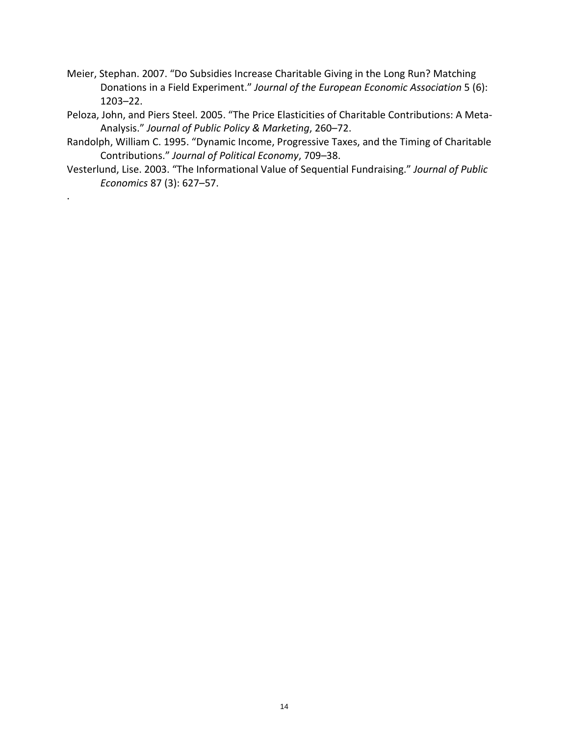- Meier, Stephan. 2007. "Do Subsidies Increase Charitable Giving in the Long Run? Matching Donations in a Field Experiment." *Journal of the European Economic Association* 5 (6): 1203–22.
- Peloza, John, and Piers Steel. 2005. "The Price Elasticities of Charitable Contributions: A Meta-Analysis." *Journal of Public Policy & Marketing*, 260–72.
- Randolph, William C. 1995. "Dynamic Income, Progressive Taxes, and the Timing of Charitable Contributions." *Journal of Political Economy*, 709–38.
- Vesterlund, Lise. 2003. "The Informational Value of Sequential Fundraising." *Journal of Public Economics* 87 (3): 627–57.

.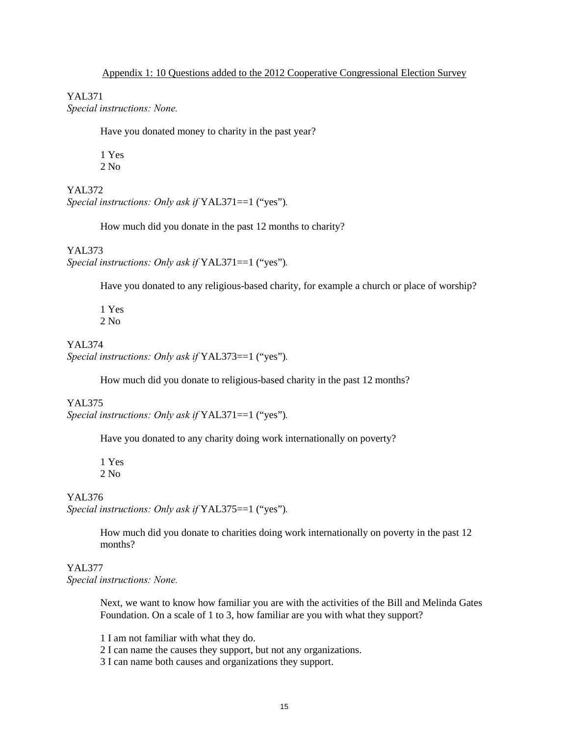YAL371 *Special instructions: None.*

Have you donated money to charity in the past year?

1 Yes 2 No

YAL372 *Special instructions: Only ask if* YAL371==1 ("yes")*.* 

How much did you donate in the past 12 months to charity?

YAL373 *Special instructions: Only ask if* YAL371==1 ("yes")*.* 

Have you donated to any religious-based charity, for example a church or place of worship?

1 Yes 2 No

YAL374 *Special instructions: Only ask if* YAL373==1 ("yes")*.* 

How much did you donate to religious-based charity in the past 12 months?

#### YAL375

*Special instructions: Only ask if* YAL371==1 ("yes")*.* 

Have you donated to any charity doing work internationally on poverty?

1 Yes 2 No

#### YAL376

*Special instructions: Only ask if* YAL375==1 ("yes")*.* 

How much did you donate to charities doing work internationally on poverty in the past 12 months?

#### YAL377

*Special instructions: None.*

Next, we want to know how familiar you are with the activities of the Bill and Melinda Gates Foundation. On a scale of 1 to 3, how familiar are you with what they support?

1 I am not familiar with what they do.

2 I can name the causes they support, but not any organizations.

3 I can name both causes and organizations they support.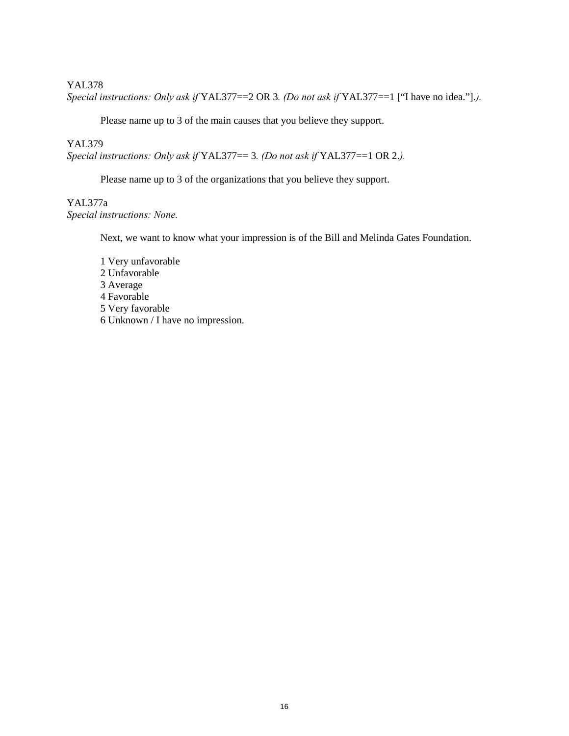#### YAL378

*Special instructions: Only ask if* YAL377==2 OR 3*. (Do not ask if* YAL377==1 ["I have no idea."].*).* 

Please name up to 3 of the main causes that you believe they support.

#### YAL379

*Special instructions: Only ask if* YAL377== 3*. (Do not ask if* YAL377==1 OR 2.*).* 

Please name up to 3 of the organizations that you believe they support.

## YAL377a *Special instructions: None.*

Next, we want to know what your impression is of the Bill and Melinda Gates Foundation.

1 Very unfavorable 2 Unfavorable 3 Average 4 Favorable 5 Very favorable 6 Unknown / I have no impression.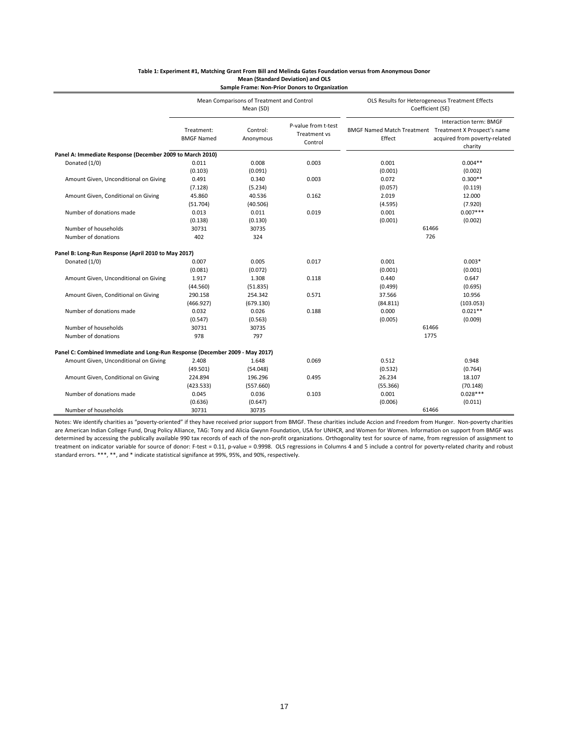|                                                                              | Mean Comparisons of Treatment and Control<br>Mean (SD) |                       |                                                | OLS Results for Heterogeneous Treatment Effects<br>Coefficient (SE) |                                                                    |  |  |
|------------------------------------------------------------------------------|--------------------------------------------------------|-----------------------|------------------------------------------------|---------------------------------------------------------------------|--------------------------------------------------------------------|--|--|
|                                                                              | Treatment:<br><b>BMGF Named</b>                        | Control:<br>Anonymous | P-value from t-test<br>Treatment vs<br>Control | BMGF Named Match Treatment Treatment X Prospect's name<br>Effect    | Interaction term: BMGF<br>acquired from poverty-related<br>charity |  |  |
| Panel A: Immediate Response (December 2009 to March 2010)                    |                                                        |                       |                                                |                                                                     |                                                                    |  |  |
| Donated (1/0)                                                                | 0.011                                                  | 0.008                 | 0.003                                          | 0.001                                                               | $0.004**$                                                          |  |  |
|                                                                              | (0.103)                                                | (0.091)               |                                                | (0.001)                                                             | (0.002)                                                            |  |  |
| Amount Given, Unconditional on Giving                                        | 0.491                                                  | 0.340                 | 0.003                                          | 0.072                                                               | $0.300**$                                                          |  |  |
|                                                                              | (7.128)                                                | (5.234)               |                                                | (0.057)                                                             | (0.119)                                                            |  |  |
| Amount Given, Conditional on Giving                                          | 45.860                                                 | 40.536                | 0.162                                          | 2.019                                                               | 12.000                                                             |  |  |
|                                                                              | (51.704)                                               | (40.506)              |                                                | (4.595)                                                             | (7.920)                                                            |  |  |
| Number of donations made                                                     | 0.013                                                  | 0.011                 | 0.019                                          | 0.001                                                               | $0.007***$                                                         |  |  |
|                                                                              | (0.138)                                                | (0.130)               |                                                | (0.001)                                                             | (0.002)                                                            |  |  |
| Number of households                                                         | 30731                                                  | 30735                 |                                                | 61466                                                               |                                                                    |  |  |
| Number of donations                                                          | 402                                                    | 324                   |                                                | 726                                                                 |                                                                    |  |  |
| Panel B: Long-Run Response (April 2010 to May 2017)                          |                                                        |                       |                                                |                                                                     |                                                                    |  |  |
| Donated (1/0)                                                                | 0.007                                                  | 0.005                 | 0.017                                          | 0.001                                                               | $0.003*$                                                           |  |  |
|                                                                              | (0.081)                                                | (0.072)               |                                                | (0.001)                                                             | (0.001)                                                            |  |  |
| Amount Given, Unconditional on Giving                                        | 1.917                                                  | 1.308                 | 0.118                                          | 0.440                                                               | 0.647                                                              |  |  |
|                                                                              | (44.560)                                               | (51.835)              |                                                | (0.499)                                                             | (0.695)                                                            |  |  |
| Amount Given, Conditional on Giving                                          | 290.158                                                | 254.342               | 0.571                                          | 37.566                                                              | 10.956                                                             |  |  |
|                                                                              | (466.927)                                              | (679.130)             |                                                | (84.811)                                                            | (103.053)                                                          |  |  |
| Number of donations made                                                     | 0.032                                                  | 0.026                 | 0.188                                          | 0.000                                                               | $0.021**$                                                          |  |  |
|                                                                              | (0.547)                                                | (0.563)               |                                                | (0.005)                                                             | (0.009)                                                            |  |  |
| Number of households                                                         | 30731                                                  | 30735                 |                                                | 61466                                                               |                                                                    |  |  |
| Number of donations                                                          | 978                                                    | 797                   |                                                | 1775                                                                |                                                                    |  |  |
| Panel C: Combined Immediate and Long-Run Response (December 2009 - May 2017) |                                                        |                       |                                                |                                                                     |                                                                    |  |  |
| Amount Given, Unconditional on Giving                                        | 2.408                                                  | 1.648                 | 0.069                                          | 0.512                                                               | 0.948                                                              |  |  |
|                                                                              | (49.501)                                               | (54.048)              |                                                | (0.532)                                                             | (0.764)                                                            |  |  |
| Amount Given, Conditional on Giving                                          | 224.894                                                | 196.296               | 0.495                                          | 26.234                                                              | 18.107                                                             |  |  |
|                                                                              | (423.533)                                              | (557.660)             |                                                | (55.366)                                                            | (70.148)                                                           |  |  |
| Number of donations made                                                     | 0.045                                                  | 0.036                 | 0.103                                          | 0.001                                                               | $0.028***$                                                         |  |  |
|                                                                              | (0.636)                                                | (0.647)               |                                                | (0.006)                                                             | (0.011)                                                            |  |  |
| Number of households                                                         | 30731                                                  | 30735                 |                                                |                                                                     | 61466                                                              |  |  |

#### **Table 1: Experiment #1, Matching Grant From Bill and Melinda Gates Foundation versus from Anonymous Donor Mean (Standard Deviation) and OLS Sample Frame: Non-Prior Donors to Organization**

Notes: We identify charities as "poverty-oriented" if they have received prior support from BMGF. These charities include Accion and Freedom from Hunger. Non-poverty charities are American Indian College Fund, Drug Policy Alliance, TAG: Tony and Alicia Gwynn Foundation, USA for UNHCR, and Women for Women. Information on support from BMGF was determined by accessing the publically available 990 tax records of each of the non-profit organizations. Orthogonality test for source of name, from regression of assignment to treatment on indicator variable for source of donor: F-test = 0.11, p-value = 0.9998. OLS regressions in Columns 4 and 5 include a control for poverty-related charity and robust standard errors. \*\*\*, \*\*, and \* indicate statistical signifance at 99%, 95%, and 90%, respectively.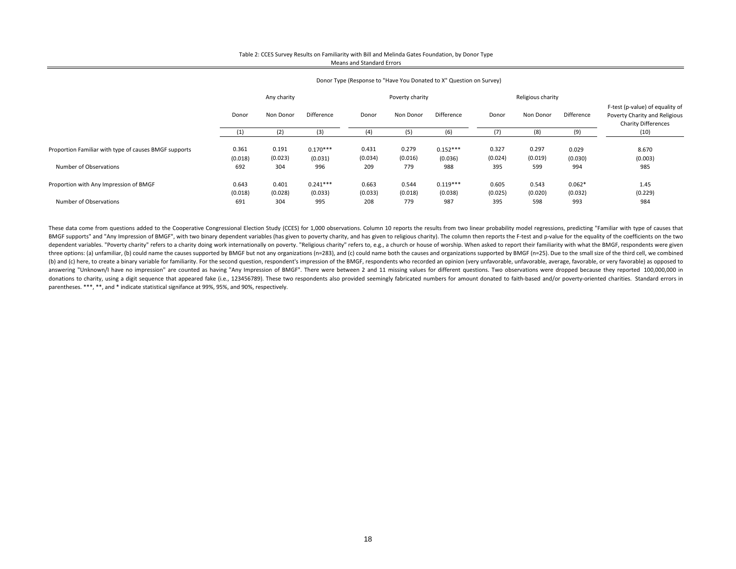#### Table 2: CCES Survey Results on Familiarity with Bill and Melinda Gates Foundation, by Donor Type Means and Standard Errors

|                                                       |                  |                  | $\cdots$              |                  |                  |                | . .              |                   |                  |                                                                                                |
|-------------------------------------------------------|------------------|------------------|-----------------------|------------------|------------------|----------------|------------------|-------------------|------------------|------------------------------------------------------------------------------------------------|
|                                                       |                  | Any charity      |                       |                  | Poverty charity  |                |                  | Religious charity |                  |                                                                                                |
|                                                       | Donor            | Non Donor        | Difference            | Donor            | Non Donor        | Difference     | Donor            | Non Donor         | Difference       | F-test (p-value) of equality of<br>Poverty Charity and Religious<br><b>Charity Differences</b> |
|                                                       |                  | (2)              | (3)                   | (4)              | (5)              | (6)            | (7)              | (8)               | (9)              | (10)                                                                                           |
| Proportion Familiar with type of causes BMGF supports | 0.361<br>(0.018) | 0.191<br>(0.023) | $0.170***$<br>(0.031) | 0.431<br>(0.034) | 0.279<br>(0.016) | $0.152***$     | 0.327<br>(0.024) | 0.297<br>(0.019)  | 0.029<br>(0.030) | 8.670<br>(0.003)                                                                               |
| Number of Observations                                | 692              | 304              | 996                   | 209              | 779              | (0.036)<br>988 | 395              | 599               | 994              | 985                                                                                            |
| Proportion with Any Impression of BMGF                | 0.643            | 0.401            | $0.241***$            | 0.663            | 0.544            | $0.119***$     | 0.605            | 0.543             | $0.062*$         | 1.45                                                                                           |
|                                                       | (0.018)          | (0.028)          | (0.033)               | (0.033)          | (0.018)          | (0.038)        | (0.025)          | (0.020)           | (0.032)          | (0.229)                                                                                        |
| Number of Observations                                | 691              | 304              | 995                   | 208              | 779              | 987            | 395              | 598               | 993              | 984                                                                                            |
|                                                       |                  |                  |                       |                  |                  |                |                  |                   |                  |                                                                                                |

#### Donor Type (Response to "Have You Donated to X" Question on Survey)

These data come from questions added to the Cooperative Congressional Election Study (CCES) for 1,000 observations. Column 10 reports the results from two linear probability model regressions, predicting "Familiar with typ BMGF supports" and "Any Impression of BMGF", with two binary dependent variables (has given to poverty charity, and has given to religious charity). The column then reports the F-test and p-value for the equality of the co dependent variables. "Poverty charity" refers to a charity doing work internationally on poverty. "Religious charity" refers to, e.g., a church or house of worship. When asked to report their familiarity with what the BMGF three options: (a) unfamiliar, (b) could name the causes supported by BMGF but not any organizations (n=283), and (c) could name both the causes and organizations supported by BMGF (n=25). Due to the small size of the thir (b) and (c) here, to create a binary variable for familiarity. For the second question, respondent's impression of the BMGE, respondents who recorded an opinion (very unfavorable, unfavorable, average, favorable, or very f answering "Unknown/I have no impression" are counted as having "Any Impression of BMGF". There were between 2 and 11 missing values for different questions. Two observations were dropped because they reported 100,000,000 i donations to charity, using a digit sequence that appeared fake (i.e., 123456789). These two respondents also provided seemingly fabricated numbers for amount donated to faith-based and/or poverty-oriented charities. Stand parentheses. \*\*\*, \*\*, and \* indicate statistical signifance at 99%, 95%, and 90%, respectively.